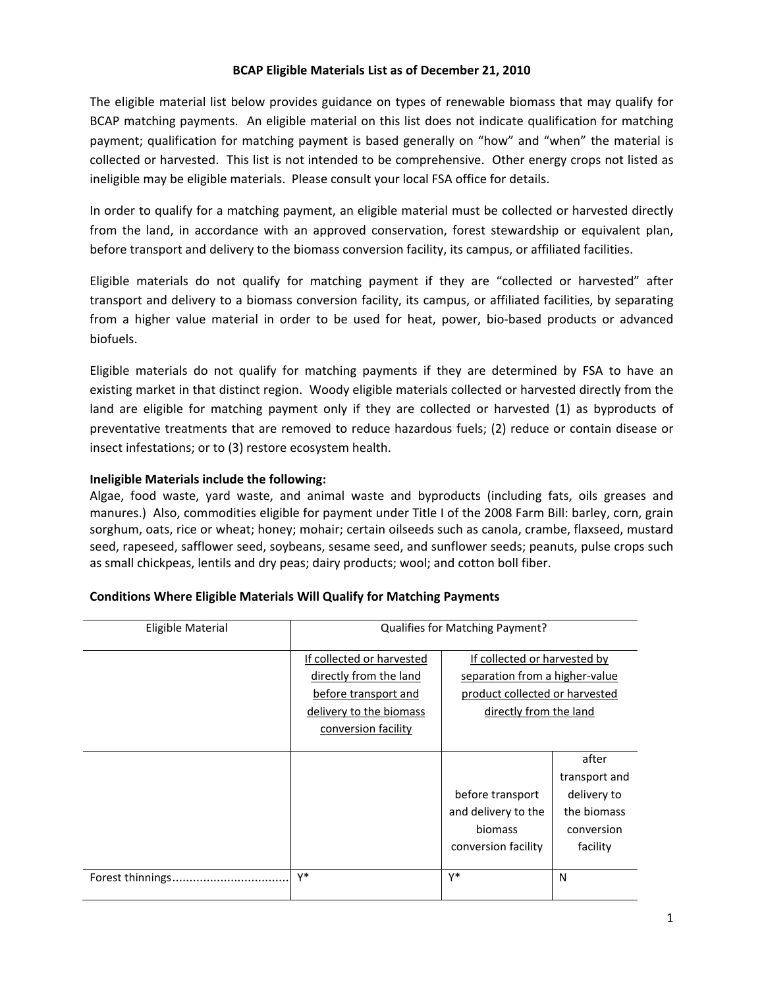## **BCAP Eligible Materials List as of December 21, 2010**

The eligible material list below provides guidance on types of renewable biomass that may qualify for BCAP matching payments. An eligible material on this list does not indicate qualification for matching payment; qualification for matching payment is based generally on "how" and "when" the material is collected or harvested. This list is not intended to be comprehensive. Other energy crops not listed as ineligible may be eligible materials. Please consult your local FSA office for details.

In order to qualify for a matching payment, an eligible material must be collected or harvested directly from the land, in accordance with an approved conservation, forest stewardship or equivalent plan, before transport and delivery to the biomass conversion facility, its campus, or affiliated facilities.

Eligible materials do not qualify for matching payment if they are "collected or harvested" after transport and delivery to a biomass conversion facility, its campus, or affiliated facilities, by separating from a higher value material in order to be used for heat, power, bio-based products or advanced biofuels.

Eligible materials do not qualify for matching payments if they are determined by FSA to have an existing market in that distinct region. Woody eligible materials collected or harvested directly from the land are eligible for matching payment only if they are collected or harvested (1) as byproducts of preventative treatments that are removed to reduce hazardous fuels; (2) reduce or contain disease or insect infestations; or to (3) restore ecosystem health.

## **Ineligible Materials include the following:**

Algae, food waste, yard waste, and animal waste and byproducts (including fats, oils greases and manures.) Also, commodities eligible for payment under Title I of the 2008 Farm Bill: barley, corn, grain sorghum, oats, rice or wheat; honey; mohair; certain oilseeds such as canola, crambe, flaxseed, mustard seed, rapeseed, safflower seed, soybeans, sesame seed, and sunflower seeds; peanuts, pulse crops such as small chickpeas, lentils and dry peas; dairy products; wool; and cotton boll fiber.

| Eligible Material | Qualifies for Matching Payment?                                                                                               |                                                                                                                            |                                                                                |
|-------------------|-------------------------------------------------------------------------------------------------------------------------------|----------------------------------------------------------------------------------------------------------------------------|--------------------------------------------------------------------------------|
|                   | If collected or harvested<br>directly from the land<br>before transport and<br>delivery to the biomass<br>conversion facility | If collected or harvested by<br>separation from a higher-value<br>product collected or harvested<br>directly from the land |                                                                                |
|                   |                                                                                                                               | before transport<br>and delivery to the<br>biomass<br>conversion facility                                                  | after<br>transport and<br>delivery to<br>the biomass<br>conversion<br>facility |
| Forest thinnings. | γ*                                                                                                                            | Y*                                                                                                                         | N                                                                              |

## **Conditions Where Eligible Materials Will Qualify for Matching Payments**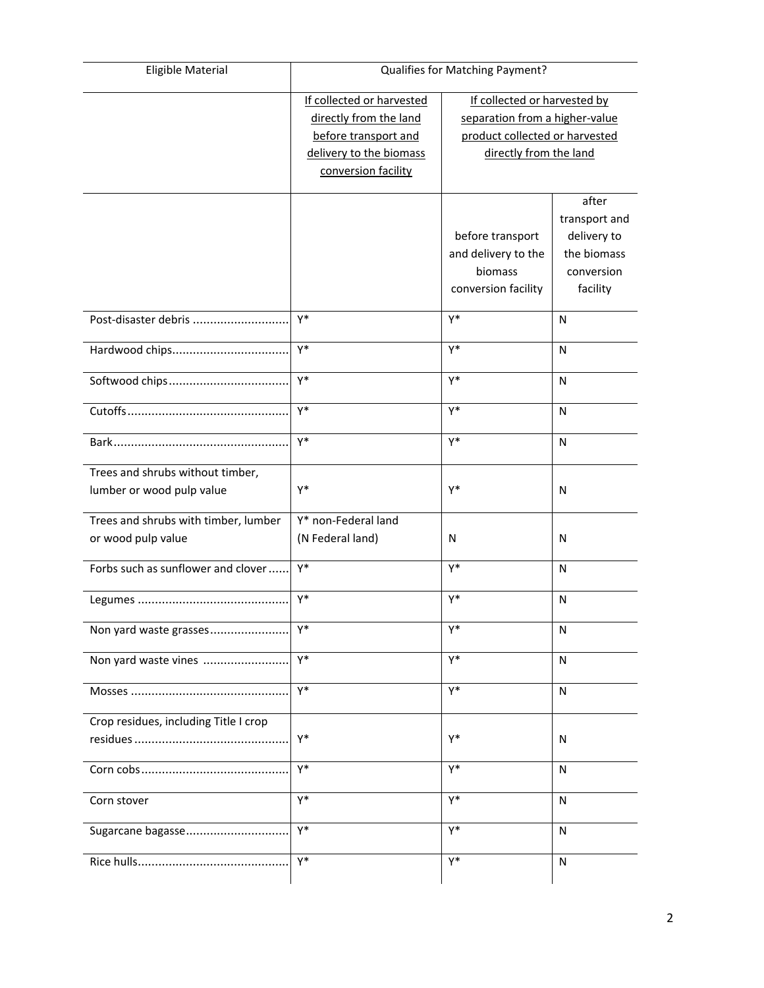| <b>Eligible Material</b>              | Qualifies for Matching Payment? |                                |               |
|---------------------------------------|---------------------------------|--------------------------------|---------------|
|                                       | If collected or harvested       | If collected or harvested by   |               |
|                                       | directly from the land          | separation from a higher-value |               |
|                                       | before transport and            | product collected or harvested |               |
|                                       | delivery to the biomass         | directly from the land         |               |
|                                       | conversion facility             |                                |               |
|                                       |                                 |                                | after         |
|                                       |                                 |                                | transport and |
|                                       |                                 | before transport               | delivery to   |
|                                       |                                 | and delivery to the            | the biomass   |
|                                       |                                 | biomass                        | conversion    |
|                                       |                                 | conversion facility            | facility      |
|                                       |                                 |                                |               |
| Post-disaster debris                  | Y*                              | Y*                             | N             |
| Hardwood chips                        | Y*                              | Y*                             | N             |
| Softwood chips                        | γ*                              | Y*                             | N             |
|                                       | γ*                              | Y*                             | N             |
|                                       |                                 |                                |               |
|                                       | γ*                              | Y*                             | N             |
| Trees and shrubs without timber,      |                                 |                                |               |
| lumber or wood pulp value             | Υ*                              | Y*                             | N             |
| Trees and shrubs with timber, lumber  | Y* non-Federal land             |                                |               |
| or wood pulp value                    | (N Federal land)                | N                              | N             |
| Forbs such as sunflower and clover    | Y*                              | $Y^*$                          | N             |
|                                       | Y*                              | Y*                             | N             |
| Non yard waste grasses                | Y*                              | Y*                             | N             |
| Non yard waste vines                  | γ*                              | Y*                             | N             |
|                                       | γ*                              | Y*                             | N             |
|                                       |                                 |                                |               |
| Crop residues, including Title I crop | Y*                              | Y*                             | ${\sf N}$     |
|                                       |                                 |                                |               |
|                                       | Y*                              | Y*                             | N             |
| Corn stover                           | Y*                              | Y*                             | $\mathsf{N}$  |
| Sugarcane bagasse                     | Y*                              | Y*                             | N             |
|                                       | Y*                              | Y*                             | N             |